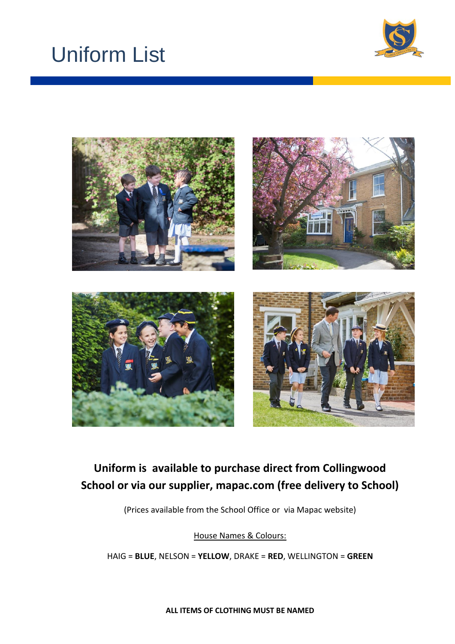# Uniform List





# **Uniform is available to purchase direct from Collingwood School or via our supplier, mapac.com (free delivery to School)**

(Prices available from the School Office or via Mapac website)

House Names & Colours:

HAIG = **BLUE**, NELSON = **YELLOW**, DRAKE = **RED**, WELLINGTON = **GREEN**

**ALL ITEMS OF CLOTHING MUST BE NAMED**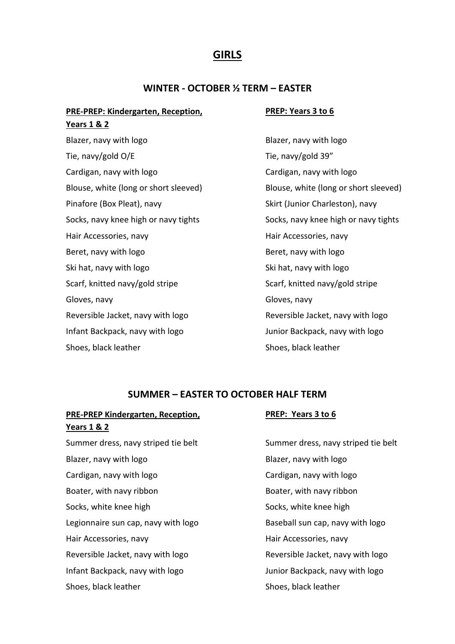# **GIRLS**

### **WINTER - OCTOBER ½ TERM – EASTER**

## **PRE-PREP: Kindergarten, Reception, Years 1 & 2**

Blazer, navy with logo and the state of the Blazer, navy with logo Tie, navy/gold O/E Tie, navy/gold 39" Cardigan, navy with logo Cardigan, navy with logo Blouse, white (long or short sleeved) Blouse, white (long or short sleeved) Pinafore (Box Pleat), navy Skirt (Junior Charleston), navy Socks, navy knee high or navy tights Socks, navy knee high or navy tights Hair Accessories, navy Hair Accessories, navy Beret, navy with logo **Beret**, navy with logo Ski hat, navy with logo states and the Ski hat, navy with logo Scarf, knitted navy/gold stripe Scarf, knitted navy/gold stripe Gloves, navy Gloves, navy Reversible Jacket, navy with logo Reversible Jacket, navy with logo Infant Backpack, navy with logo Junior Backpack, navy with logo Shoes, black leather Shoes, black leather

#### **PREP: Years 3 to 6**

### **SUMMER – EASTER TO OCTOBER HALF TERM**

### **PRE-PREP Kindergarten, Reception, Years 1 & 2**

#### **PREP: Years 3 to 6**

Summer dress, navy striped tie belt Summer dress, navy striped tie belt Blazer, navy with logo and the state of the Blazer, navy with logo Cardigan, navy with logo Cardigan, navy with logo Boater, with navy ribbon Boater, with navy ribbon Socks, white knee high Socks, white knee high Socks, white knee high Legionnaire sun cap, navy with logo Baseball sun cap, navy with logo Hair Accessories, navy **Hair Accessories**, navy Reversible Jacket, navy with logo **Reversible Jacket, navy with logo** Infant Backpack, navy with logo Junior Backpack, navy with logo Shoes, black leather Shoes, black leather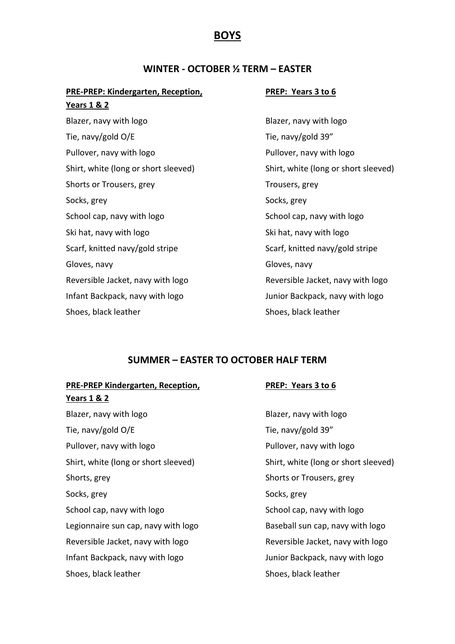# **BOYS**

# **WINTER - OCTOBER ½ TERM – EASTER**

# **PRE-PREP: Kindergarten, Reception,**

#### **PREP: Years 3 to 6**

| <u>Years 1 &amp; 2</u>               |
|--------------------------------------|
| Blazer, navy with logo               |
| Tie, navy/gold O/E                   |
| Pullover, navy with logo             |
| Shirt, white (long or short sleeved) |
| Shorts or Trousers, grey             |
| Socks, grey                          |
| School cap, navy with logo           |
| Ski hat, navy with logo              |
| Scarf, knitted navy/gold stripe      |
| Gloves, navy                         |
| Reversible Jacket, navy with logo    |
| Infant Backpack, navy with logo      |
| Shoes, black leather                 |

Blazer, navy with logo Tie, navy/gold 39" Pullover, navy with logo Shirt, white (long or short sleeved) Trousers, grey Socks, grey School cap, navy with logo Ski hat, navy with logo Scarf, knitted navy/gold stripe Gloves, navy Reversible Jacket, navy with logo Junior Backpack, navy with logo Shoes, black leather

# **SUMMER – EASTER TO OCTOBER HALF TERM**

| PRE-PREP Kindergarten, Reception,    | PREP: Years 3 to 6                   |  |
|--------------------------------------|--------------------------------------|--|
| <u>Years 1 &amp; 2</u>               |                                      |  |
| Blazer, navy with logo               | Blazer, navy with logo               |  |
| Tie, navy/gold O/E                   | Tie, navy/gold 39"                   |  |
| Pullover, navy with logo             | Pullover, navy with logo             |  |
| Shirt, white (long or short sleeved) | Shirt, white (long or short sleeved) |  |
| Shorts, grey                         | Shorts or Trousers, grey             |  |
| Socks, grey                          | Socks, grey                          |  |
| School cap, navy with logo           | School cap, navy with logo           |  |
| Legionnaire sun cap, navy with logo  | Baseball sun cap, navy with logo     |  |
| Reversible Jacket, navy with logo    | Reversible Jacket, navy with logo    |  |
| Infant Backpack, navy with logo      | Junior Backpack, navy with logo      |  |
| Shoes, black leather                 | Shoes, black leather                 |  |